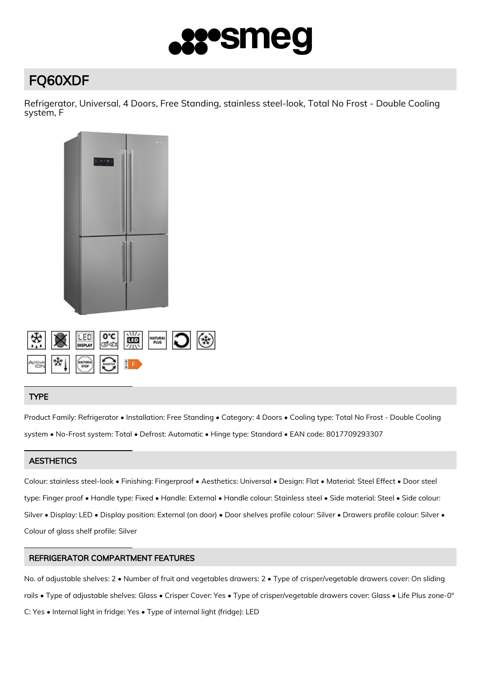

# FQ60XDF

Refrigerator, Universal, 4 Doors, Free Standing, stainless steel-look, Total No Frost - Double Cooling system, F



# TYPE

Product Family: Refrigerator • Installation: Free Standing • Category: 4 Doors • Cooling type: Total No Frost - Double Cooling system • No-Frost system: Total • Defrost: Automatic • Hinge type: Standard • EAN code: 8017709293307

# **AESTHETICS**

Colour: stainless steel-look • Finishing: Fingerproof • Aesthetics: Universal • Design: Flat • Material: Steel Effect • Door steel type: Finger proof • Handle type: Fixed • Handle: External • Handle colour: Stainless steel • Side material: Steel • Side colour: Silver • Display: LED • Display position: External (on door) • Door shelves profile colour: Silver • Drawers profile colour: Silver • Colour of glass shelf profile: Silver

# REFRIGERATOR COMPARTMENT FEATURES

No. of adjustable shelves: 2 • Number of fruit and vegetables drawers: 2 • Type of crisper/vegetable drawers cover: On sliding rails • Type of adjustable shelves: Glass • Crisper Cover: Yes • Type of crisper/vegetable drawers cover: Glass • Life Plus zone-0° C: Yes • Internal light in fridge: Yes • Type of internal light (fridge): LED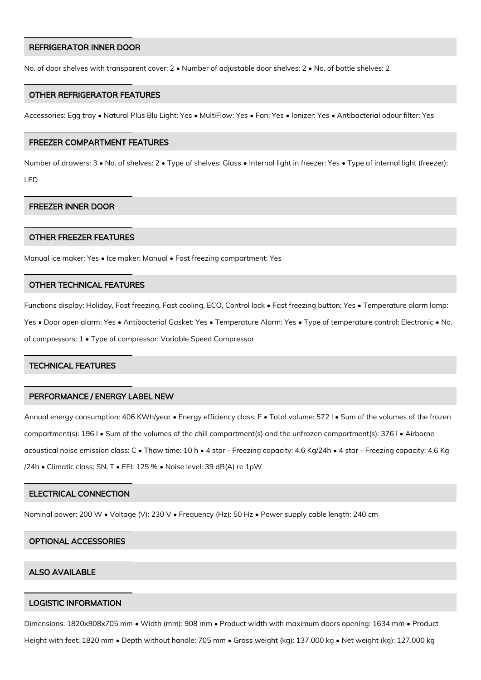### REFRIGERATOR INNER DOOR

No. of door shelves with transparent cover: 2 • Number of adjustable door shelves: 2 • No. of bottle shelves: 2

## OTHER REFRIGERATOR FEATURES

Accessories: Egg tray • Natural Plus Blu Light: Yes • MultiFlow: Yes • Fan: Yes • Ionizer: Yes • Antibacterial odour filter: Yes

#### FREEZER COMPARTMENT FEATURES

Number of drawers: 3 • No. of shelves: 2 • Type of shelves: Glass • Internal light in freezer: Yes • Type of internal light (freezer): LED

# FREEZER INNER DOOR

#### OTHER FREEZER FEATURES

Manual ice maker: Yes • Ice maker: Manual • Fast freezing compartment: Yes

# OTHER TECHNICAL FEATURES

Functions display: Holiday, Fast freezing, Fast cooling, ECO, Control lock • Fast freezing button: Yes • Temperature alarm lamp: Yes • Door open alarm: Yes • Antibacterial Gasket: Yes • Temperature Alarm: Yes • Type of temperature control: Electronic • No. of compressors: 1 • Type of compressor: Variable Speed Compressor

# TECHNICAL FEATURES

# PERFORMANCE / ENERGY LABEL NEW

Annual energy consumption: 406 KWh/year • Energy efficiency class: F • Total volume: 572 l • Sum of the volumes of the frozen compartment(s): 196 l • Sum of the volumes of the chill compartment(s) and the unfrozen compartment(s): 376 l • Airborne acoustical noise emission class: C • Thaw time: 10 h • 4 star - Freezing capacity: 4.6 Kg/24h • 4 star - Freezing capacity: 4.6 Kg /24h • Climatic class: SN, T • EEI: 125 % • Noise level: 39 dB(A) re 1pW

# ELECTRICAL CONNECTION

Nominal power: 200 W • Voltage (V): 230 V • Frequency (Hz): 50 Hz • Power supply cable length: 240 cm

#### OPTIONAL ACCESSORIES

# ALSO AVAILABLE

#### LOGISTIC INFORMATION

Dimensions: 1820x908x705 mm • Width (mm): 908 mm • Product width with maximum doors opening: 1634 mm • Product

Height with feet: 1820 mm • Depth without handle: 705 mm • Gross weight (kg): 137.000 kg • Net weight (kg): 127.000 kg